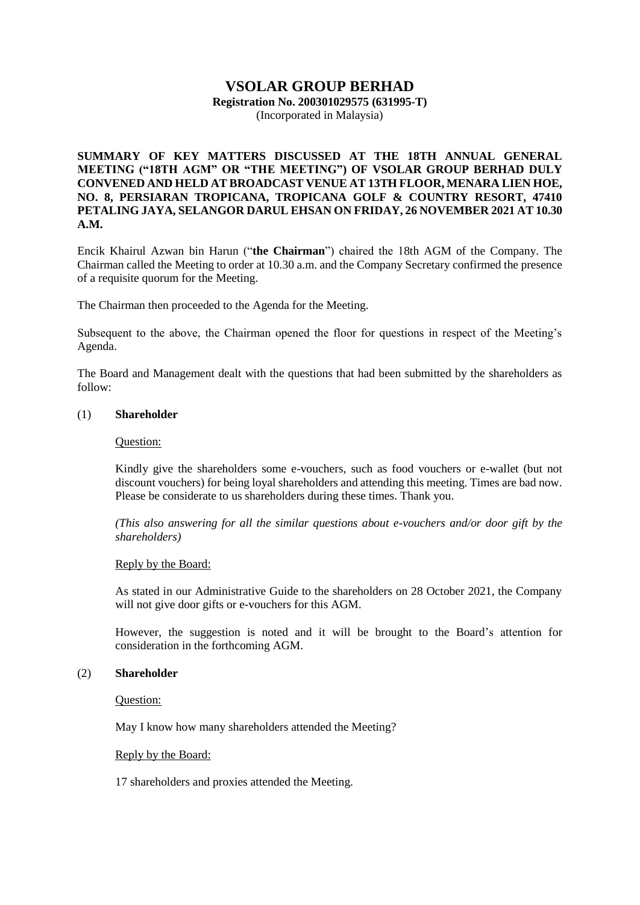# **VSOLAR GROUP BERHAD Registration No. 200301029575 (631995-T)**

(Incorporated in Malaysia)

# **SUMMARY OF KEY MATTERS DISCUSSED AT THE 18TH ANNUAL GENERAL MEETING ("18TH AGM" OR "THE MEETING") OF VSOLAR GROUP BERHAD DULY CONVENED AND HELD AT BROADCAST VENUE AT 13TH FLOOR, MENARA LIEN HOE, NO. 8, PERSIARAN TROPICANA, TROPICANA GOLF & COUNTRY RESORT, 47410 PETALING JAYA, SELANGOR DARUL EHSAN ON FRIDAY, 26 NOVEMBER 2021 AT 10.30 A.M.**

Encik Khairul Azwan bin Harun ("**the Chairman**") chaired the 18th AGM of the Company. The Chairman called the Meeting to order at 10.30 a.m. and the Company Secretary confirmed the presence of a requisite quorum for the Meeting.

The Chairman then proceeded to the Agenda for the Meeting.

Subsequent to the above, the Chairman opened the floor for questions in respect of the Meeting's Agenda.

The Board and Management dealt with the questions that had been submitted by the shareholders as follow:

#### (1) **Shareholder**

## Question:

Kindly give the shareholders some e-vouchers, such as food vouchers or e-wallet (but not discount vouchers) for being loyal shareholders and attending this meeting. Times are bad now. Please be considerate to us shareholders during these times. Thank you.

*(This also answering for all the similar questions about e-vouchers and/or door gift by the shareholders)*

# Reply by the Board:

As stated in our Administrative Guide to the shareholders on 28 October 2021, the Company will not give door gifts or e-vouchers for this AGM.

However, the suggestion is noted and it will be brought to the Board's attention for consideration in the forthcoming AGM.

# (2) **Shareholder**

Question:

May I know how many shareholders attended the Meeting?

#### Reply by the Board:

17 shareholders and proxies attended the Meeting.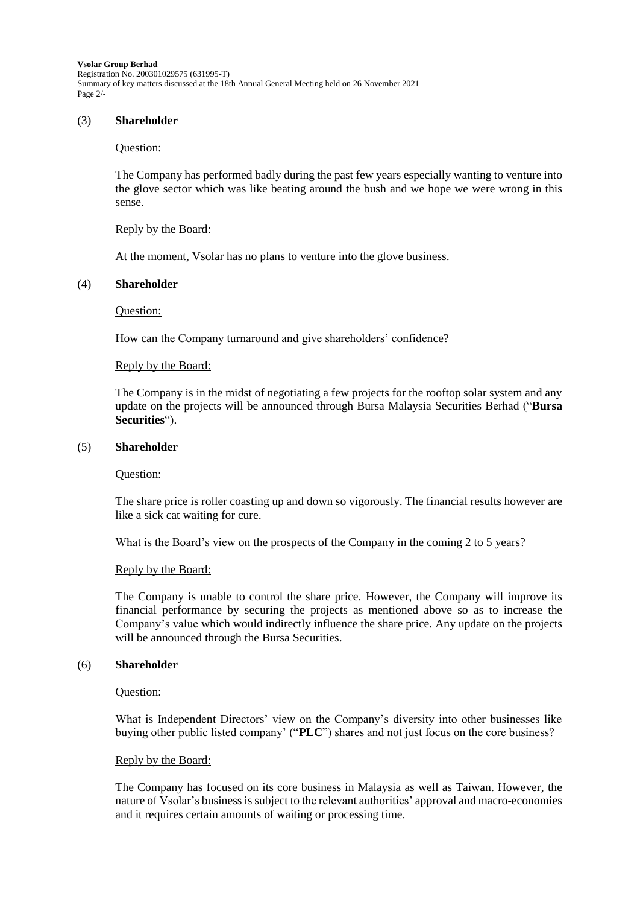**Vsolar Group Berhad** Registration No. 200301029575 (631995-T) Summary of key matters discussed at the 18th Annual General Meeting held on 26 November 2021 Page 2/-

#### (3) **Shareholder**

#### Question:

The Company has performed badly during the past few years especially wanting to venture into the glove sector which was like beating around the bush and we hope we were wrong in this sense.

#### Reply by the Board:

At the moment, Vsolar has no plans to venture into the glove business.

## (4) **Shareholder**

Question:

How can the Company turnaround and give shareholders' confidence?

#### Reply by the Board:

The Company is in the midst of negotiating a few projects for the rooftop solar system and any update on the projects will be announced through Bursa Malaysia Securities Berhad ("**Bursa Securities**").

#### (5) **Shareholder**

#### Question:

The share price is roller coasting up and down so vigorously. The financial results however are like a sick cat waiting for cure.

What is the Board's view on the prospects of the Company in the coming 2 to 5 years?

#### Reply by the Board:

The Company is unable to control the share price. However, the Company will improve its financial performance by securing the projects as mentioned above so as to increase the Company's value which would indirectly influence the share price. Any update on the projects will be announced through the Bursa Securities.

## (6) **Shareholder**

#### Question:

What is Independent Directors' view on the Company's diversity into other businesses like buying other public listed company' ("**PLC**") shares and not just focus on the core business?

#### Reply by the Board:

The Company has focused on its core business in Malaysia as well as Taiwan. However, the nature of Vsolar's business is subject to the relevant authorities' approval and macro-economies and it requires certain amounts of waiting or processing time.